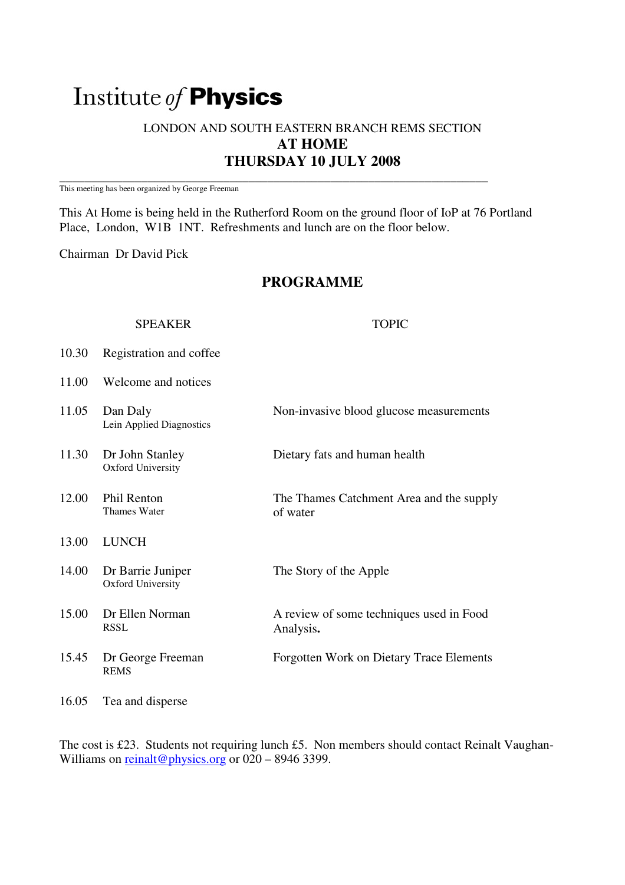# Institute of Physics

# LONDON AND SOUTH EASTERN BRANCH REMS SECTION **AT HOME THURSDAY 10 JULY 2008**

\_\_\_\_\_\_\_\_\_\_\_\_\_\_\_\_\_\_\_\_\_\_\_\_\_\_\_\_\_\_\_\_\_\_\_\_\_\_\_\_\_\_\_\_\_\_\_\_\_\_\_\_\_\_\_\_\_\_\_\_\_\_\_\_\_\_\_\_ This meeting has been organized by George Freeman

This At Home is being held in the Rutherford Room on the ground floor of IoP at 76 Portland Place, London, W1B 1NT. Refreshments and lunch are on the floor below.

Chairman Dr David Pick

# **PROGRAMME**

# SPEAKER TOPIC

- 10.30 Registration and coffee
- 11.00 Welcome and notices

| 11.05 | Dan Daly<br>Lein Applied Diagnostics          | Non-invasive blood glucose measurements               |
|-------|-----------------------------------------------|-------------------------------------------------------|
| 11.30 | Dr John Stanley<br><b>Oxford University</b>   | Dietary fats and human health                         |
| 12.00 | <b>Phil Renton</b><br>Thames Water            | The Thames Catchment Area and the supply<br>of water  |
| 13.00 | <b>LUNCH</b>                                  |                                                       |
| 14.00 | Dr Barrie Juniper<br><b>Oxford University</b> | The Story of the Apple                                |
| 15.00 | Dr Ellen Norman<br><b>RSSL</b>                | A review of some techniques used in Food<br>Analysis. |
| 15.45 | Dr George Freeman<br><b>REMS</b>              | <b>Forgotten Work on Dietary Trace Elements</b>       |
| 16.05 | Tea and disperse                              |                                                       |

The cost is £23. Students not requiring lunch £5. Non members should contact Reinalt Vaughan-Williams on reinalt@physics.org or 020 - 8946 3399.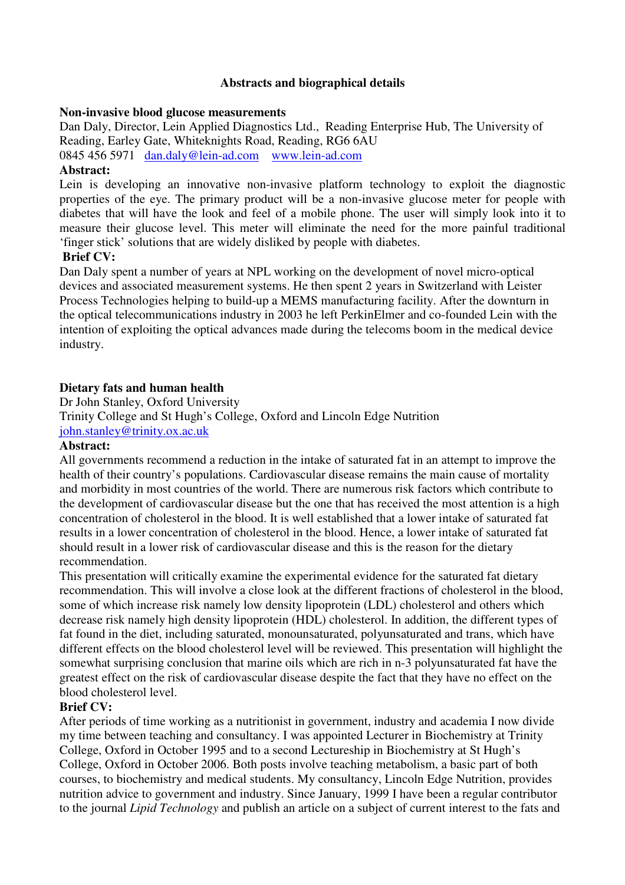## **Abstracts and biographical details**

## **Non-invasive blood glucose measurements**

Dan Daly, Director, Lein Applied Diagnostics Ltd., Reading Enterprise Hub, The University of Reading, Earley Gate, Whiteknights Road, Reading, RG6 6AU 0845 456 5971 dan.daly@lein-ad.com www.lein-ad.com

## **Abstract:**

Lein is developing an innovative non-invasive platform technology to exploit the diagnostic properties of the eye. The primary product will be a non-invasive glucose meter for people with diabetes that will have the look and feel of a mobile phone. The user will simply look into it to measure their glucose level. This meter will eliminate the need for the more painful traditional 'finger stick' solutions that are widely disliked by people with diabetes.

## **Brief CV:**

Dan Daly spent a number of years at NPL working on the development of novel micro-optical devices and associated measurement systems. He then spent 2 years in Switzerland with Leister Process Technologies helping to build-up a MEMS manufacturing facility. After the downturn in the optical telecommunications industry in 2003 he left PerkinElmer and co-founded Lein with the intention of exploiting the optical advances made during the telecoms boom in the medical device industry.

## **Dietary fats and human health**

Dr John Stanley, Oxford University

Trinity College and St Hugh's College, Oxford and Lincoln Edge Nutrition john.stanley@trinity.ox.ac.uk

## **Abstract:**

All governments recommend a reduction in the intake of saturated fat in an attempt to improve the health of their country's populations. Cardiovascular disease remains the main cause of mortality and morbidity in most countries of the world. There are numerous risk factors which contribute to the development of cardiovascular disease but the one that has received the most attention is a high concentration of cholesterol in the blood. It is well established that a lower intake of saturated fat results in a lower concentration of cholesterol in the blood. Hence, a lower intake of saturated fat should result in a lower risk of cardiovascular disease and this is the reason for the dietary recommendation.

This presentation will critically examine the experimental evidence for the saturated fat dietary recommendation. This will involve a close look at the different fractions of cholesterol in the blood, some of which increase risk namely low density lipoprotein (LDL) cholesterol and others which decrease risk namely high density lipoprotein (HDL) cholesterol. In addition, the different types of fat found in the diet, including saturated, monounsaturated, polyunsaturated and trans, which have different effects on the blood cholesterol level will be reviewed. This presentation will highlight the somewhat surprising conclusion that marine oils which are rich in n-3 polyunsaturated fat have the greatest effect on the risk of cardiovascular disease despite the fact that they have no effect on the blood cholesterol level.

# **Brief CV:**

After periods of time working as a nutritionist in government, industry and academia I now divide my time between teaching and consultancy. I was appointed Lecturer in Biochemistry at Trinity College, Oxford in October 1995 and to a second Lectureship in Biochemistry at St Hugh's College, Oxford in October 2006. Both posts involve teaching metabolism, a basic part of both courses, to biochemistry and medical students. My consultancy, Lincoln Edge Nutrition, provides nutrition advice to government and industry. Since January, 1999 I have been a regular contributor to the journal *Lipid Technology* and publish an article on a subject of current interest to the fats and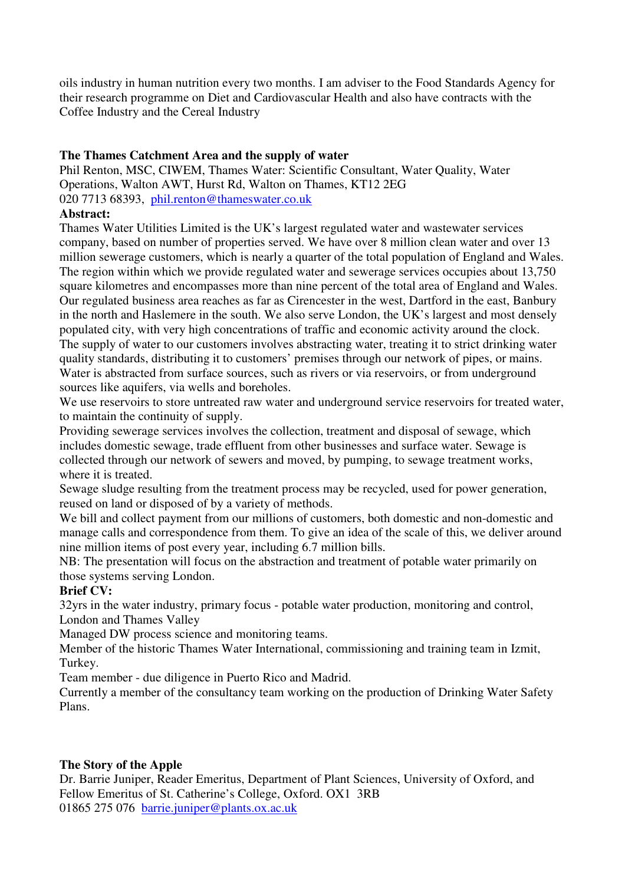oils industry in human nutrition every two months. I am adviser to the Food Standards Agency for their research programme on Diet and Cardiovascular Health and also have contracts with the Coffee Industry and the Cereal Industry

# **The Thames Catchment Area and the supply of water**

Phil Renton, MSC, CIWEM, Thames Water: Scientific Consultant, Water Quality, Water Operations, Walton AWT, Hurst Rd, Walton on Thames, KT12 2EG 020 7713 68393, phil.renton@thameswater.co.uk

# **Abstract:**

Thames Water Utilities Limited is the UK's largest regulated water and wastewater services company, based on number of properties served. We have over 8 million clean water and over 13 million sewerage customers, which is nearly a quarter of the total population of England and Wales. The region within which we provide regulated water and sewerage services occupies about 13,750 square kilometres and encompasses more than nine percent of the total area of England and Wales. Our regulated business area reaches as far as Cirencester in the west, Dartford in the east, Banbury in the north and Haslemere in the south. We also serve London, the UK's largest and most densely populated city, with very high concentrations of traffic and economic activity around the clock. The supply of water to our customers involves abstracting water, treating it to strict drinking water quality standards, distributing it to customers' premises through our network of pipes, or mains. Water is abstracted from surface sources, such as rivers or via reservoirs, or from underground sources like aquifers, via wells and boreholes.

We use reservoirs to store untreated raw water and underground service reservoirs for treated water, to maintain the continuity of supply.

Providing sewerage services involves the collection, treatment and disposal of sewage, which includes domestic sewage, trade effluent from other businesses and surface water. Sewage is collected through our network of sewers and moved, by pumping, to sewage treatment works, where it is treated.

Sewage sludge resulting from the treatment process may be recycled, used for power generation, reused on land or disposed of by a variety of methods.

We bill and collect payment from our millions of customers, both domestic and non-domestic and manage calls and correspondence from them. To give an idea of the scale of this, we deliver around nine million items of post every year, including 6.7 million bills.

NB: The presentation will focus on the abstraction and treatment of potable water primarily on those systems serving London.

# **Brief CV:**

32yrs in the water industry, primary focus - potable water production, monitoring and control, London and Thames Valley

Managed DW process science and monitoring teams.

Member of the historic Thames Water International, commissioning and training team in Izmit, Turkey.

Team member - due diligence in Puerto Rico and Madrid.

Currently a member of the consultancy team working on the production of Drinking Water Safety Plans.

# **The Story of the Apple**

Dr. Barrie Juniper, Reader Emeritus, Department of Plant Sciences, University of Oxford, and Fellow Emeritus of St. Catherine's College, Oxford. OX1 3RB 01865 275 076 barrie.juniper@plants.ox.ac.uk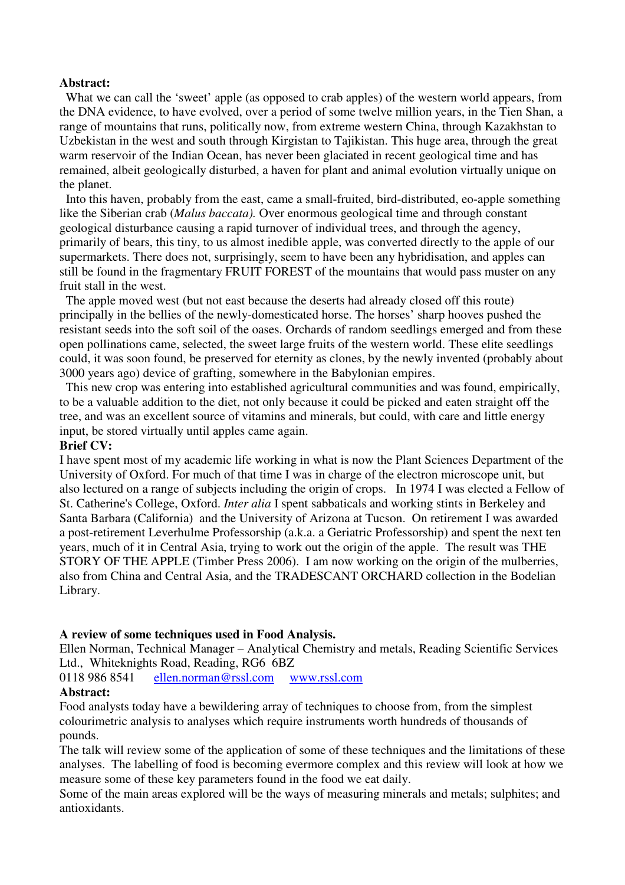#### **Abstract:**

 What we can call the 'sweet' apple (as opposed to crab apples) of the western world appears, from the DNA evidence, to have evolved, over a period of some twelve million years, in the Tien Shan, a range of mountains that runs, politically now, from extreme western China, through Kazakhstan to Uzbekistan in the west and south through Kirgistan to Tajikistan. This huge area, through the great warm reservoir of the Indian Ocean, has never been glaciated in recent geological time and has remained, albeit geologically disturbed, a haven for plant and animal evolution virtually unique on the planet.

 Into this haven, probably from the east, came a small-fruited, bird-distributed, eo-apple something like the Siberian crab (*Malus baccata).* Over enormous geological time and through constant geological disturbance causing a rapid turnover of individual trees, and through the agency, primarily of bears, this tiny, to us almost inedible apple, was converted directly to the apple of our supermarkets. There does not, surprisingly, seem to have been any hybridisation, and apples can still be found in the fragmentary FRUIT FOREST of the mountains that would pass muster on any fruit stall in the west.

 The apple moved west (but not east because the deserts had already closed off this route) principally in the bellies of the newly-domesticated horse. The horses' sharp hooves pushed the resistant seeds into the soft soil of the oases. Orchards of random seedlings emerged and from these open pollinations came, selected, the sweet large fruits of the western world. These elite seedlings could, it was soon found, be preserved for eternity as clones, by the newly invented (probably about 3000 years ago) device of grafting, somewhere in the Babylonian empires.

 This new crop was entering into established agricultural communities and was found, empirically, to be a valuable addition to the diet, not only because it could be picked and eaten straight off the tree, and was an excellent source of vitamins and minerals, but could, with care and little energy input, be stored virtually until apples came again.

#### **Brief CV:**

I have spent most of my academic life working in what is now the Plant Sciences Department of the University of Oxford. For much of that time I was in charge of the electron microscope unit, but also lectured on a range of subjects including the origin of crops. In 1974 I was elected a Fellow of St. Catherine's College, Oxford. *Inter alia* I spent sabbaticals and working stints in Berkeley and Santa Barbara (California) and the University of Arizona at Tucson. On retirement I was awarded a post-retirement Leverhulme Professorship (a.k.a. a Geriatric Professorship) and spent the next ten years, much of it in Central Asia, trying to work out the origin of the apple. The result was THE STORY OF THE APPLE (Timber Press 2006). I am now working on the origin of the mulberries, also from China and Central Asia, and the TRADESCANT ORCHARD collection in the Bodelian Library.

## **A review of some techniques used in Food Analysis.**

Ellen Norman, Technical Manager – Analytical Chemistry and metals, Reading Scientific Services Ltd., Whiteknights Road, Reading, RG6 6BZ

0118 986 8541 ellen.norman@rssl.com www.rssl.com

#### **Abstract:**

Food analysts today have a bewildering array of techniques to choose from, from the simplest colourimetric analysis to analyses which require instruments worth hundreds of thousands of pounds.

The talk will review some of the application of some of these techniques and the limitations of these analyses. The labelling of food is becoming evermore complex and this review will look at how we measure some of these key parameters found in the food we eat daily.

Some of the main areas explored will be the ways of measuring minerals and metals; sulphites; and antioxidants.